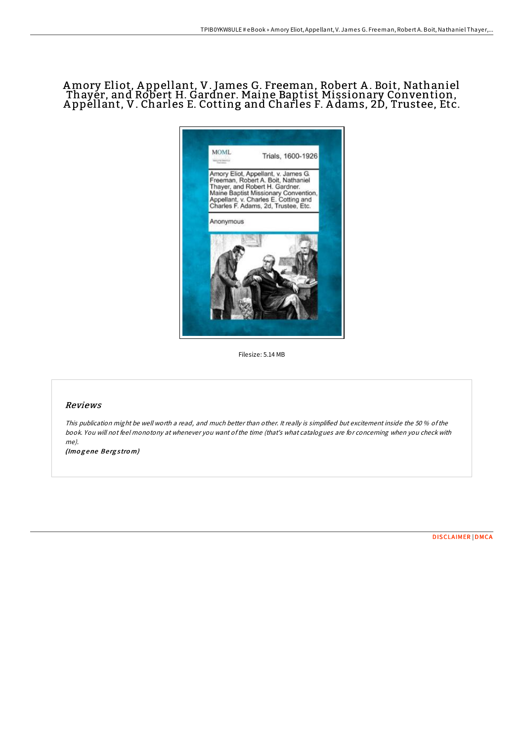## Amory Eliot, A ppellant, V. James G. Freeman, Robert A . Boit, Nathaniel Thayer, and Robert H. Gardner. Maine Baptist Missionary Convention, A ppellant, V. Charles E. Cotting and Charles F. A dams, 2D, Trustee, Etc.



Filesize: 5.14 MB

## Reviews

This publication might be well worth <sup>a</sup> read, and much better than other. It really is simplified but excitement inside the 50 % ofthe book. You will not feel monotony at whenever you want ofthe time (that's what catalogues are for concerning when you check with me).

(Imogene Bergstrom)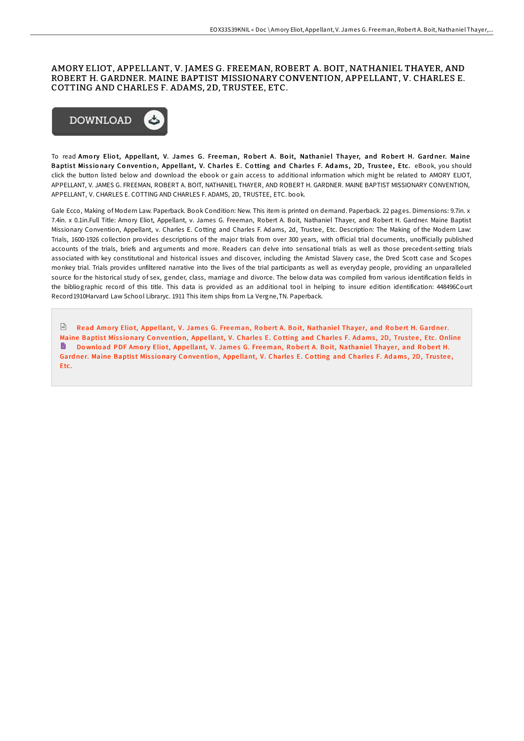## AMORY ELIOT, APPELLANT, V. JAMES G. FREEMAN, ROBERT A. BOIT, NATHANIEL THAYER, AND ROBERT H. GARDNER. MAINE BAPTIST MISSIONARY CONVENTION, APPELLANT, V. CHARLES E. COTTING AND CHARLES F. ADAMS, 2D, TRUSTEE, ETC.



To read Amory Eliot, Appellant, V. James G. Freeman, Robert A. Boit, Nathaniel Thayer, and Robert H. Gardner. Maine Baptist Missionary Convention, Appellant, V. Charles E. Cotting and Charles F. Adams, 2D, Trustee, Etc. eBook, you should click the button listed below and download the ebook or gain access to additional information which might be related to AMORY ELIOT, APPELLANT, V. JAMES G. FREEMAN, ROBERT A. BOIT, NATHANIEL THAYER, AND ROBERT H. GARDNER. MAINE BAPTIST MISSIONARY CONVENTION, APPELLANT, V. CHARLES E. COTTING AND CHARLES F. ADAMS, 2D, TRUSTEE, ETC. book.

Gale Ecco, Making of Modern Law. Paperback. Book Condition: New. This item is printed on demand. Paperback. 22 pages. Dimensions: 9.7in. x 7.4in. x 0.1in.Full Title: Amory Eliot, Appellant, v. James G. Freeman, Robert A. Boit, Nathaniel Thayer, and Robert H. Gardner. Maine Baptist Missionary Convention, Appellant, v. Charles E. Cotting and Charles F. Adams, 2d, Trustee, Etc. Description: The Making of the Modern Law: Trials, 1600-1926 collection provides descriptions of the major trials from over 300 years, with official trial documents, unofficially published accounts of the trials, briefs and arguments and more. Readers can delve into sensational trials as well as those precedent-setting trials associated with key constitutional and historical issues and discover, including the Amistad Slavery case, the Dred Scott case and Scopes monkey trial. Trials provides unfiltered narrative into the lives of the trial participants as well as everyday people, providing an unparalleled source for the historical study of sex, gender, class, marriage and divorce. The below data was compiled from various identification fields in the bibliographic record of this title. This data is provided as an additional tool in helping to insure edition identification: 448496Court Record1910Harvard Law School Libraryc. 1911 This item ships from La Vergne,TN. Paperback.

 $\mathbb F$  Read Amory Eliot, Appellant, V. James G. Freeman, Robert A. Boit, [Nathanie](http://almighty24.tech/amory-eliot-appellant-v-james-g-freeman-robert-a-1.html)l Thayer, and Robert H. Gardner. Maine Baptist Missionary Convention, Appellant, V. Charles E. Cotting and Charles F. Adams, 2D, Trustee, Etc. Online Download PDF Amory Eliot, Appellant, V. James G. Freeman, Robert A. Boit, [Nathanie](http://almighty24.tech/amory-eliot-appellant-v-james-g-freeman-robert-a-1.html)l Thayer, and Robert H. Gardner. Maine Baptist Missionary Convention, Appellant, V. Charles E. Cotting and Charles F. Adams, 2D, Trustee, Etc.